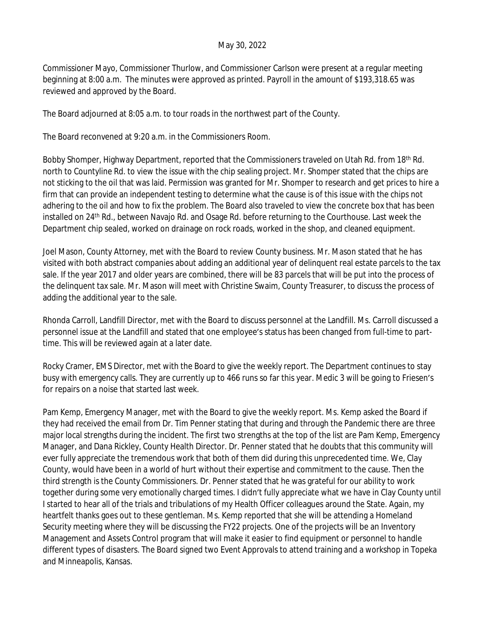## May 30, 2022

Commissioner Mayo, Commissioner Thurlow, and Commissioner Carlson were present at a regular meeting beginning at 8:00 a.m. The minutes were approved as printed. Payroll in the amount of \$193,318.65 was reviewed and approved by the Board.

The Board adjourned at 8:05 a.m. to tour roads in the northwest part of the County.

The Board reconvened at 9:20 a.m. in the Commissioners Room.

Bobby Shomper, Highway Department, reported that the Commissioners traveled on Utah Rd. from 18<sup>th</sup> Rd. north to Countyline Rd. to view the issue with the chip sealing project. Mr. Shomper stated that the chips are not sticking to the oil that was laid. Permission was granted for Mr. Shomper to research and get prices to hire a firm that can provide an independent testing to determine what the cause is of this issue with the chips not adhering to the oil and how to fix the problem. The Board also traveled to view the concrete box that has been installed on 24<sup>th</sup> Rd., between Navajo Rd. and Osage Rd. before returning to the Courthouse. Last week the Department chip sealed, worked on drainage on rock roads, worked in the shop, and cleaned equipment.

Joel Mason, County Attorney, met with the Board to review County business. Mr. Mason stated that he has visited with both abstract companies about adding an additional year of delinquent real estate parcels to the tax sale. If the year 2017 and older years are combined, there will be 83 parcels that will be put into the process of the delinquent tax sale. Mr. Mason will meet with Christine Swaim, County Treasurer, to discuss the process of adding the additional year to the sale.

Rhonda Carroll, Landfill Director, met with the Board to discuss personnel at the Landfill. Ms. Carroll discussed a personnel issue at the Landfill and stated that one employee's status has been changed from full-time to parttime. This will be reviewed again at a later date.

Rocky Cramer, EMS Director, met with the Board to give the weekly report. The Department continues to stay busy with emergency calls. They are currently up to 466 runs so far this year. Medic 3 will be going to Friesen's for repairs on a noise that started last week.

Pam Kemp, Emergency Manager, met with the Board to give the weekly report. Ms. Kemp asked the Board if they had received the email from Dr. Tim Penner stating that during and through the Pandemic there are three major local strengths during the incident. The first two strengths at the top of the list are Pam Kemp, Emergency Manager, and Dana Rickley, County Health Director. Dr. Penner stated that he doubts that this community will ever fully appreciate the tremendous work that both of them did during this unprecedented time. We, Clay County, would have been in a world of hurt without their expertise and commitment to the cause. Then the third strength is the County Commissioners. Dr. Penner stated that he was grateful for our ability to work together during some very emotionally charged times. I didn't fully appreciate what we have in Clay County until I started to hear all of the trials and tribulations of my Health Officer colleagues around the State. Again, my heartfelt thanks goes out to these gentleman. Ms. Kemp reported that she will be attending a Homeland Security meeting where they will be discussing the FY22 projects. One of the projects will be an Inventory Management and Assets Control program that will make it easier to find equipment or personnel to handle different types of disasters. The Board signed two Event Approvals to attend training and a workshop in Topeka and Minneapolis, Kansas.